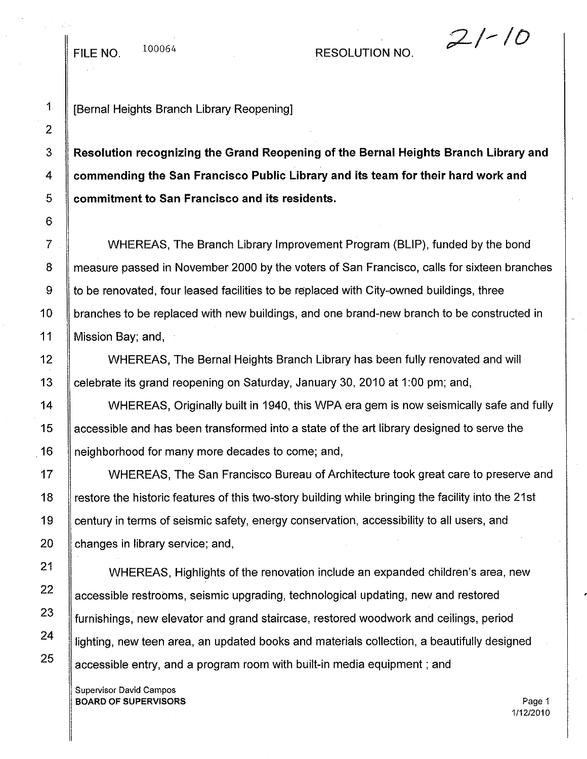## FILE NO.  $100064$  RESOLUTION NO.

## *;;2/-ID*

1 | [Bernal Heights Branch Library Reopening]

3 **Resolution recognizing the Grand Reopening of the Bernal Heights Branch Library and** 4 **commending the San Francisco Public Library and its team for their hard work and** 5 **commitment to San Francisco and its residents.**

WHEREAS, The Branch Library Improvement Program (BLIP), funded by the bond measure passed in November 2000 by the voters of San Francisco, calls for sixteen branches to be renovated, four leased facilities to be replaced with City-owned buildings, three branches to be replaced with new buildings, and one brand-new branch to be constructed in Mission Bay; and,

WHEREAS, The Bernal Heights Branch Library has been fully renovated and will celebrate its grand reopening on Saturday, January 30, 2010 at 1:00 pm; and,

WHEREAS, Originally built in 1940, this WPA era gem is now seismically safe and fully accessible and has been transformed into a state of the art library designed to serve the neighborhood for many more decades to come; and,

WHEREAS, The San Francisco Bureau of Architecture took great care to preserve and restore the historic features of this two-story building while bringing the facility into the 21st century in terms of seismic safety, energy conservation, accessibility to all users, and changes in library service; and,

WHEREAS, Highlights of the renovation include an expanded children's area, new accessible restrooms, seismic upgrading, technological updating, new and restored furnishings, new elevator and grand staircase, restored woodwork and ceilings, period lighting, new teen area, an updated books and materials collection, a beautifully designed accessible entry, and a program room with built-in media equipment; and

Supervisor David Campos **BOARD OF SUPERVISORS** Page 1

1/12/2010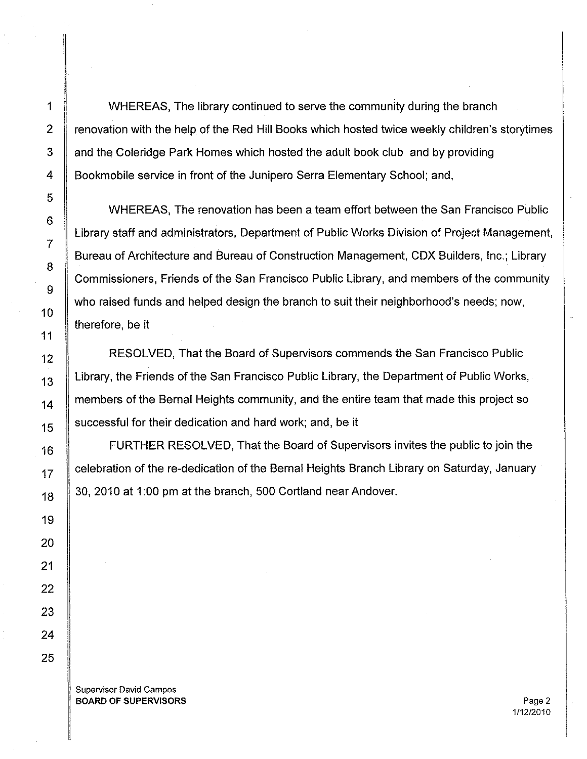1 WHEREAS, The library continued to serve the community during the branch 2 Fenovation with the help of the Red Hill Books which hosted twice weekly children's storytimes 3 and the Coleridge Park Homes which hosted the adult book club and by providing 4 Bookmobile service in front of the Junipero Serra Elementary School; and,

WHEREAS, The renovation has been a team effort between the San Francisco Public Library staff and administrators, Department of Public Works Division of Project Management, Bureau of Architecture and Bureau of Construction Management, CDX Builders, Inc.; Library Commissioners, Friends of the San Francisco Public Library, and members of the community who raised funds and helped design the branch to suit their neighborhood's needs; now, therefore, be it

RESOLVED, That the Board of Supervisors commends the San Francisco Public Library, the Friends of the San Francisco Public Library, the Department of Public Works, members of the Bernal Heights community, and the entire team that made this project so successful for their dedication and hard work; and, be it

FURTHER RESOLVED, That the Board of Supervisors invites the public to join the celebration of the re-dedication of the Bernal Heights Branch Library on Saturday, January 30, 2010 at 1:00 pm at the branch, 500 Cortland near Andover.

Supervisor David Campos **BOARD OF SUPERVISORS** Page 2

111212010